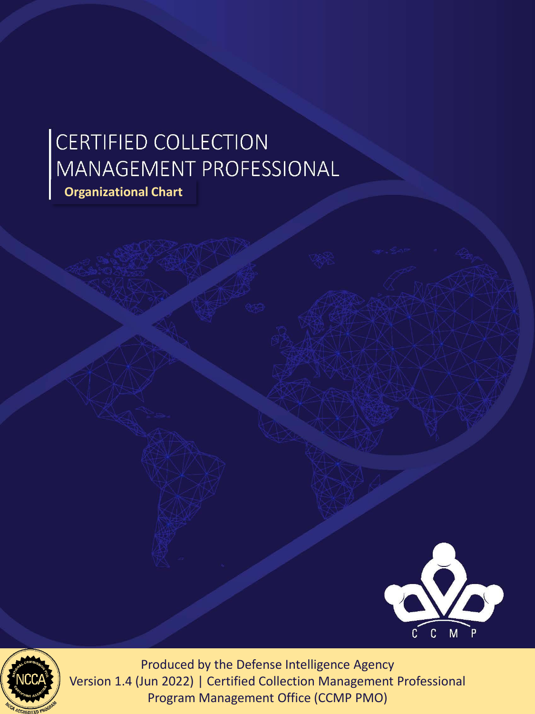## CERTIFIED COLLECTION<br>MANAGEMENT PROFESSIONAL **Organizational Chart**





Version 1.4 (Jun 2022) | Certified Collection Management Professional Program Management Office (CCMP PMO)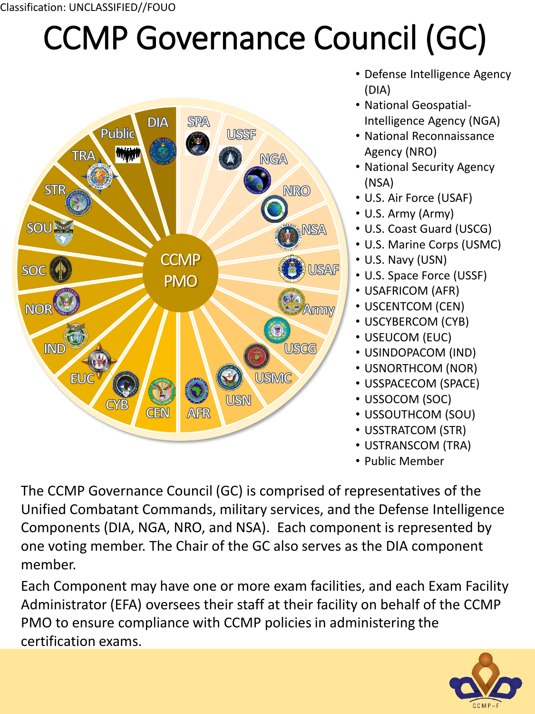## CCMP Governance Council (GC)



- Defense Intelligence Agency (DIA)
- National Geospatial-Intelligence Agency (NGA)
- National Reconnaissance Agency (NRO)
- National Security Agency (NSA)
- U.S. Air Force (USAF)
- U.S. Army (Army)
- U.S. Coast Guard (USCG)
- U.S. Marine Corps (USMC)
- U.S. Navy (USN)
- U.S. Space Force (USSF)
- USAFRICOM (AFR)
- USCENTCOM (CEN)
- USCYBERCOM (CYB)
- USEUCOM (EUC)
- USINDOPACOM (IND)
- USNORTHCOM (NOR)
- USSPACECOM (SPACE)
- USSOCOM (SOC)
- USSOUTHCOM (SOU)
- USSTRATCOM (STR)
- USTRANSCOM (TRA)
- Public Member

The CCMP Governance Council (GC) is comprised of representatives of the Unified Combatant Commands, military services, and the Defense Intelligence Components (DIA, NGA, NRO, and NSA). Each component is represented by one voting member. The Chair of the GC also serves as the DIA component member.

Each Component may have one or more exam facilities, and each Exam Facility Administrator (EFA) oversees their staff at their facility on behalf of the CCMP PMO to ensure compliance with CCMP policies in administering the certification exams.

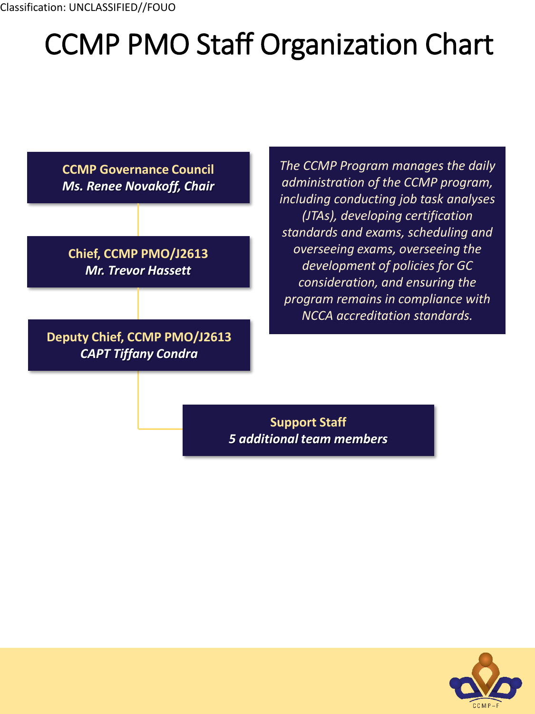## CCMP PMO Staff Organization Chart



**Chief, CCMP PMO/J2613** *Mr. Trevor Hassett*

**Deputy Chief, CCMP PMO/J2613** *CAPT Tiffany Condra*

*The CCMP Program manages the daily administration of the CCMP program, including conducting job task analyses (JTAs), developing certification standards and exams, scheduling and overseeing exams, overseeing the development of policies for GC consideration, and ensuring the program remains in compliance with NCCA accreditation standards.*

**Support Staff** *5 additional team members*